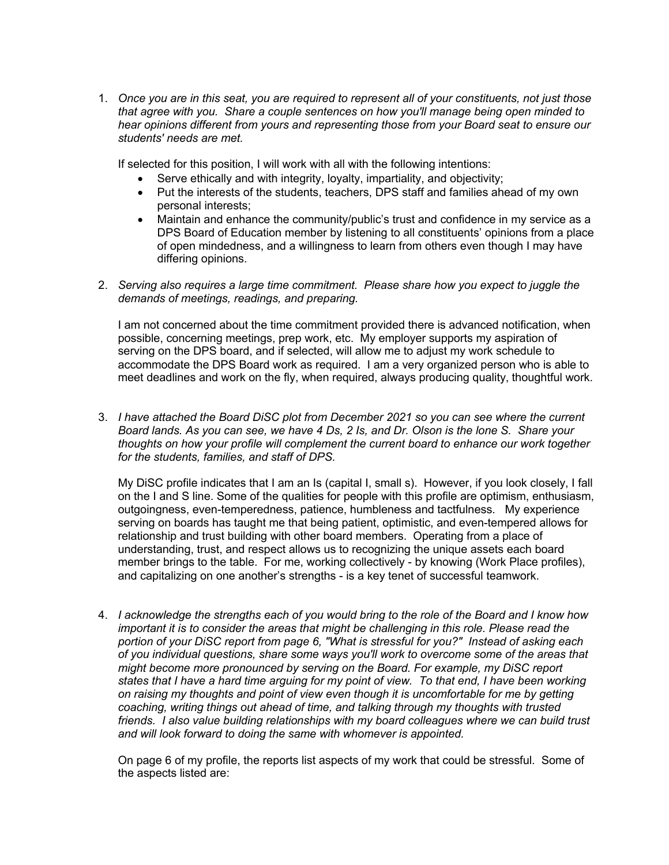1. *Once you are in this seat, you are required to represent all of your constituents, not just those that agree with you. Share a couple sentences on how you'll manage being open minded to hear opinions different from yours and representing those from your Board seat to ensure our students' needs are met.*

If selected for this position, I will work with all with the following intentions:

- Serve ethically and with integrity, loyalty, impartiality, and objectivity;
- Put the interests of the students, teachers, DPS staff and families ahead of my own personal interests;
- Maintain and enhance the community/public's trust and confidence in my service as a DPS Board of Education member by listening to all constituents' opinions from a place of open mindedness, and a willingness to learn from others even though I may have differing opinions.
- 2. *Serving also requires a large time commitment. Please share how you expect to juggle the demands of meetings, readings, and preparing.*

I am not concerned about the time commitment provided there is advanced notification, when possible, concerning meetings, prep work, etc. My employer supports my aspiration of serving on the DPS board, and if selected, will allow me to adjust my work schedule to accommodate the DPS Board work as required. I am a very organized person who is able to meet deadlines and work on the fly, when required, always producing quality, thoughtful work.

3. *I have attached the Board DiSC plot from December 2021 so you can see where the current Board lands. As you can see, we have 4 Ds, 2 Is, and Dr. Olson is the lone S. Share your thoughts on how your profile will complement the current board to enhance our work together for the students, families, and staff of DPS.*

My DiSC profile indicates that I am an Is (capital I, small s). However, if you look closely, I fall on the I and S line. Some of the qualities for people with this profile are optimism, enthusiasm, outgoingness, even-temperedness, patience, humbleness and tactfulness. My experience serving on boards has taught me that being patient, optimistic, and even-tempered allows for relationship and trust building with other board members. Operating from a place of understanding, trust, and respect allows us to recognizing the unique assets each board member brings to the table. For me, working collectively - by knowing (Work Place profiles), and capitalizing on one another's strengths - is a key tenet of successful teamwork.

4. *I acknowledge the strengths each of you would bring to the role of the Board and I know how important it is to consider the areas that might be challenging in this role. Please read the portion of your DiSC report from page 6, "What is stressful for you?" Instead of asking each of you individual questions, share some ways you'll work to overcome some of the areas that might become more pronounced by serving on the Board. For example, my DiSC report states that I have a hard time arguing for my point of view. To that end, I have been working on raising my thoughts and point of view even though it is uncomfortable for me by getting coaching, writing things out ahead of time, and talking through my thoughts with trusted friends. I also value building relationships with my board colleagues where we can build trust and will look forward to doing the same with whomever is appointed.*

On page 6 of my profile, the reports list aspects of my work that could be stressful. Some of the aspects listed are: